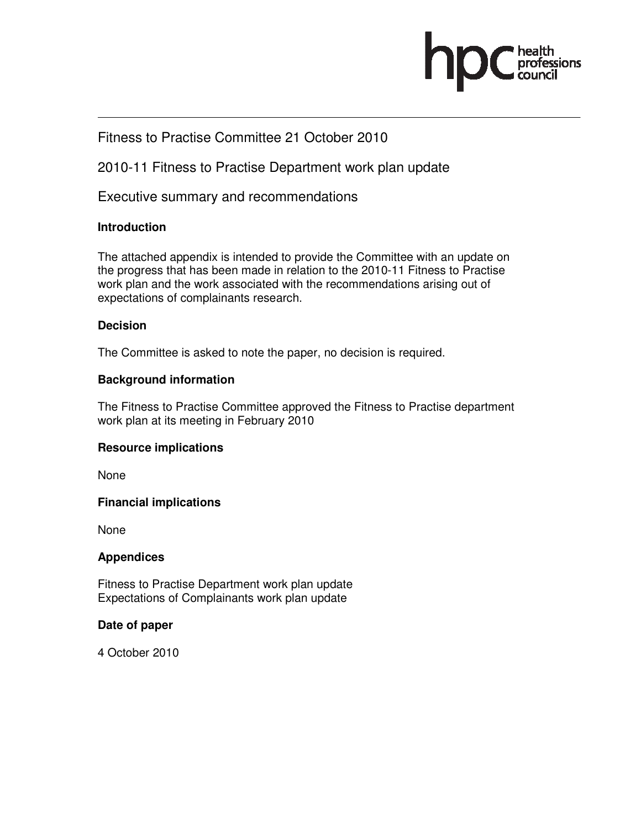

### Fitness to Practise Committee 21 October 2010

2010-11 Fitness to Practise Department work plan update

Executive summary and recommendations

### **Introduction**

The attached appendix is intended to provide the Committee with an update on the progress that has been made in relation to the 2010-11 Fitness to Practise work plan and the work associated with the recommendations arising out of expectations of complainants research.

### **Decision**

The Committee is asked to note the paper, no decision is required.

### **Background information**

The Fitness to Practise Committee approved the Fitness to Practise department work plan at its meeting in February 2010

### **Resource implications**

None

### **Financial implications**

None

### **Appendices**

Fitness to Practise Department work plan update Expectations of Complainants work plan update

### **Date of paper**

4 October 2010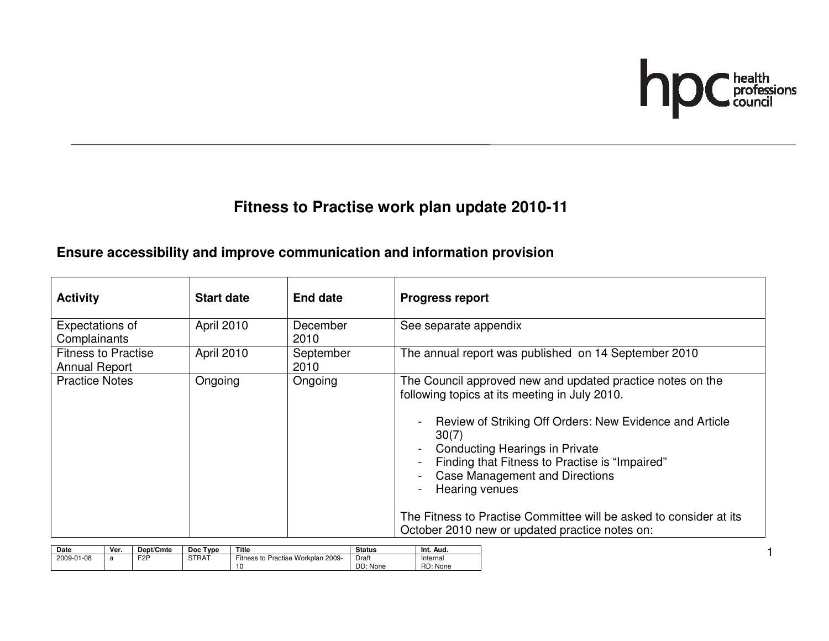

## **Fitness to Practise work plan update 2010-11**

### **Ensure accessibility and improve communication and information provision**

| <b>Activity</b>                                    | <b>Start date</b> | End date          | <b>Progress report</b>                                                                                                                                                                                                                                                                                                                                                                                                                                        |
|----------------------------------------------------|-------------------|-------------------|---------------------------------------------------------------------------------------------------------------------------------------------------------------------------------------------------------------------------------------------------------------------------------------------------------------------------------------------------------------------------------------------------------------------------------------------------------------|
| Expectations of<br>Complainants                    | April 2010        | December<br>2010  | See separate appendix                                                                                                                                                                                                                                                                                                                                                                                                                                         |
| <b>Fitness to Practise</b><br><b>Annual Report</b> | April 2010        | September<br>2010 | The annual report was published on 14 September 2010                                                                                                                                                                                                                                                                                                                                                                                                          |
| <b>Practice Notes</b>                              | Ongoing           | Ongoing           | The Council approved new and updated practice notes on the<br>following topics at its meeting in July 2010.<br>Review of Striking Off Orders: New Evidence and Article<br>30(7)<br><b>Conducting Hearings in Private</b><br>Finding that Fitness to Practise is "Impaired"<br><b>Case Management and Directions</b><br>Hearing venues<br>The Fitness to Practise Committee will be asked to consider at its<br>October 2010 new or updated practice notes on: |

| Date       | Ver. | Dept/Cmte        | Type<br>Doc | Title                              | <b>Status</b> | Int.<br>Aud. |
|------------|------|------------------|-------------|------------------------------------|---------------|--------------|
| 2009-01-08 | а    | F <sub>2</sub> P | STRAT       | Fitness to Practise Workplan 2009- | Draft         | Internal     |
|            |      |                  |             | 10                                 | DD: None      | RD: None     |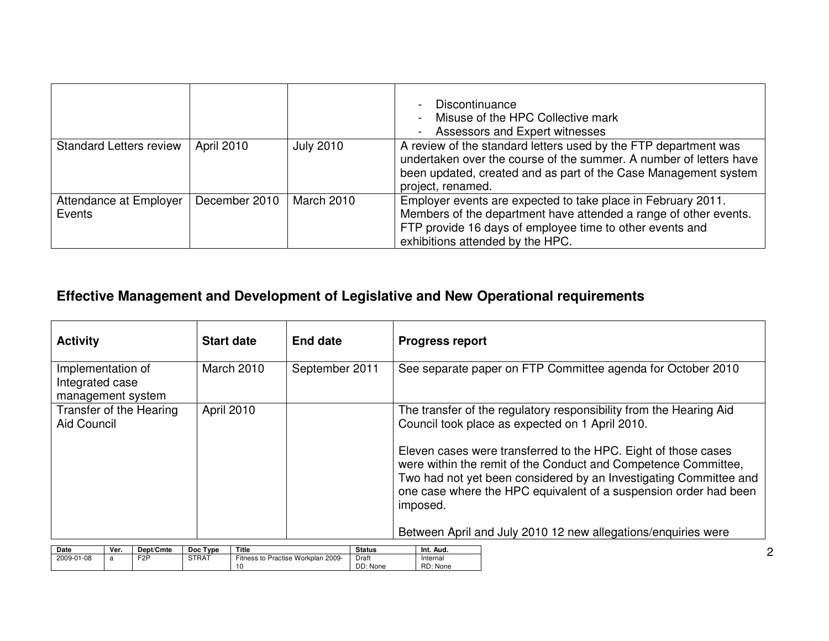|                                  |                   |                   | Discontinuance<br>Misuse of the HPC Collective mark<br>Assessors and Expert witnesses                                                                                                                                            |
|----------------------------------|-------------------|-------------------|----------------------------------------------------------------------------------------------------------------------------------------------------------------------------------------------------------------------------------|
| <b>Standard Letters review</b>   | <b>April 2010</b> | <b>July 2010</b>  | A review of the standard letters used by the FTP department was<br>undertaken over the course of the summer. A number of letters have<br>been updated, created and as part of the Case Management system<br>project, renamed.    |
| Attendance at Employer<br>Events | December 2010     | <b>March 2010</b> | Employer events are expected to take place in February 2011.<br>Members of the department have attended a range of other events.<br>FTP provide 16 days of employee time to other events and<br>exhibitions attended by the HPC. |

## **Effective Management and Development of Legislative and New Operational requirements**

| <b>Activity</b>                                           | <b>Start date</b> | <b>End date</b> | <b>Progress report</b>                                                                                                                                                                                                                                                                |
|-----------------------------------------------------------|-------------------|-----------------|---------------------------------------------------------------------------------------------------------------------------------------------------------------------------------------------------------------------------------------------------------------------------------------|
| Implementation of<br>Integrated case<br>management system | <b>March 2010</b> | September 2011  | See separate paper on FTP Committee agenda for October 2010                                                                                                                                                                                                                           |
| Transfer of the Hearing<br><b>Aid Council</b>             | April 2010        |                 | The transfer of the regulatory responsibility from the Hearing Aid<br>Council took place as expected on 1 April 2010.                                                                                                                                                                 |
|                                                           |                   |                 | Eleven cases were transferred to the HPC. Eight of those cases<br>were within the remit of the Conduct and Competence Committee,<br>Two had not yet been considered by an Investigating Committee and<br>one case where the HPC equivalent of a suspension order had been<br>imposed. |
|                                                           |                   |                 | Between April and July 2010 12 new allegations/enguiries were                                                                                                                                                                                                                         |

| Date       | Ver. | Dept/Cmte        | Type<br><b>Doc</b> | Title                                 | <b>Status</b> | Int.<br>Aud.  |
|------------|------|------------------|--------------------|---------------------------------------|---------------|---------------|
| 2009-01-08 | a    | F <sub>2</sub> P | <b>STRAT</b>       | Fitness to<br>Practise Workplan 2009- | Draft         | Internal      |
|            |      |                  |                    |                                       | DD: None      | RD:<br>: None |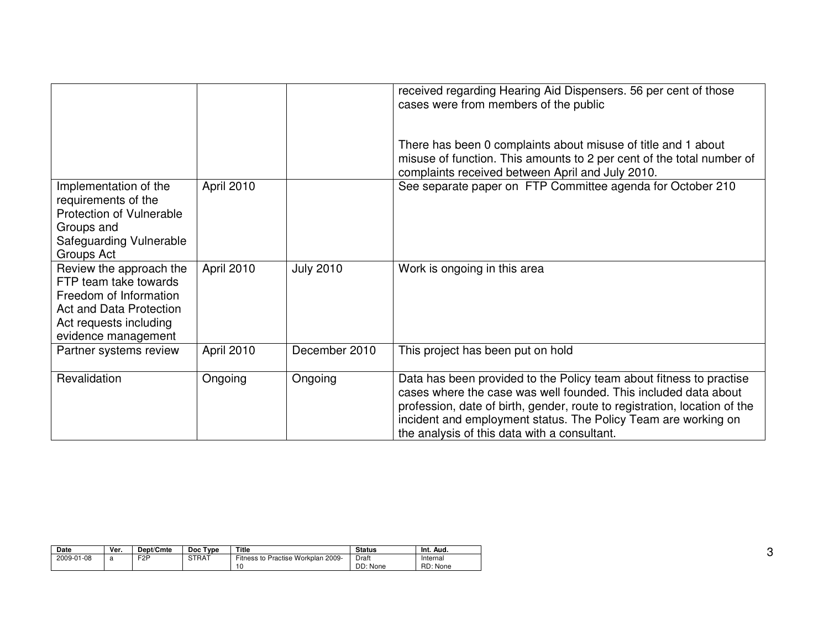|                                                                                                                                                        |            |                  | received regarding Hearing Aid Dispensers. 56 per cent of those<br>cases were from members of the public                                                                                                                                                                                                                              |
|--------------------------------------------------------------------------------------------------------------------------------------------------------|------------|------------------|---------------------------------------------------------------------------------------------------------------------------------------------------------------------------------------------------------------------------------------------------------------------------------------------------------------------------------------|
|                                                                                                                                                        |            |                  | There has been 0 complaints about misuse of title and 1 about<br>misuse of function. This amounts to 2 per cent of the total number of<br>complaints received between April and July 2010.                                                                                                                                            |
| Implementation of the<br>requirements of the<br>Protection of Vulnerable<br>Groups and<br>Safeguarding Vulnerable<br>Groups Act                        | April 2010 |                  | See separate paper on FTP Committee agenda for October 210                                                                                                                                                                                                                                                                            |
| Review the approach the<br>FTP team take towards<br>Freedom of Information<br>Act and Data Protection<br>Act requests including<br>evidence management | April 2010 | <b>July 2010</b> | Work is ongoing in this area                                                                                                                                                                                                                                                                                                          |
| Partner systems review                                                                                                                                 | April 2010 | December 2010    | This project has been put on hold                                                                                                                                                                                                                                                                                                     |
| Revalidation                                                                                                                                           | Ongoing    | Ongoing          | Data has been provided to the Policy team about fitness to practise<br>cases where the case was well founded. This included data about<br>profession, date of birth, gender, route to registration, location of the<br>incident and employment status. The Policy Team are working on<br>the analysis of this data with a consultant. |

| Date       | Ver. | Dept/Cmte        | Doc Type     | Title                                 | <b>Status</b> | Int.<br>Aud. |
|------------|------|------------------|--------------|---------------------------------------|---------------|--------------|
| 2009-01-08 |      | F <sub>2</sub> P | <b>STRAT</b> | Fitness to Practise Workplan<br>2009- | Draft         | Internal     |
|            |      |                  |              | $\overline{a}$                        | DD: None      | RD: None     |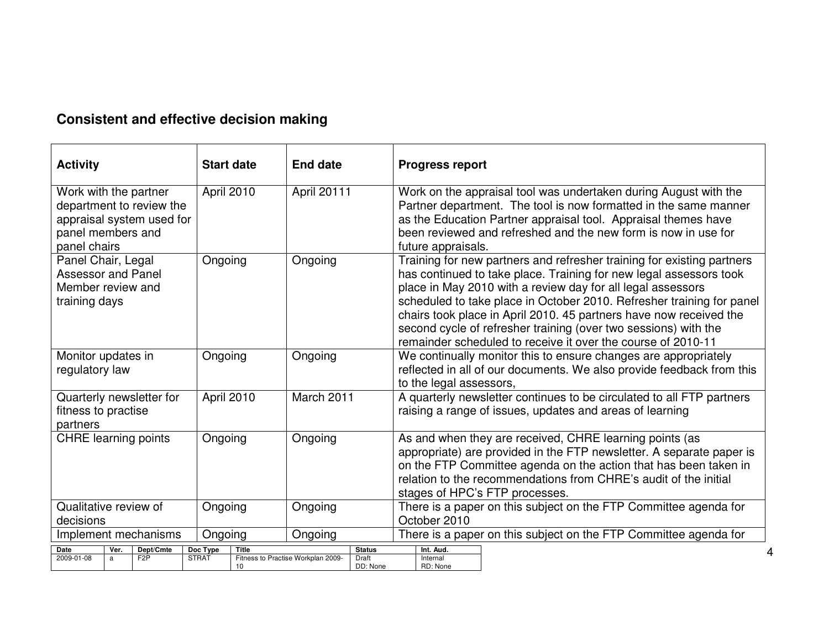## **Consistent and effective decision making**

| <b>Activity</b>                                                                                                     | <b>Start date</b>        | <b>End date</b>                                         | <b>Progress report</b>                                                                                                                                                                                                                                                                                                                                                                                                                                                                        |
|---------------------------------------------------------------------------------------------------------------------|--------------------------|---------------------------------------------------------|-----------------------------------------------------------------------------------------------------------------------------------------------------------------------------------------------------------------------------------------------------------------------------------------------------------------------------------------------------------------------------------------------------------------------------------------------------------------------------------------------|
| Work with the partner<br>department to review the<br>appraisal system used for<br>panel members and<br>panel chairs | April 2010               | April 20111                                             | Work on the appraisal tool was undertaken during August with the<br>Partner department. The tool is now formatted in the same manner<br>as the Education Partner appraisal tool. Appraisal themes have<br>been reviewed and refreshed and the new form is now in use for<br>future appraisals.                                                                                                                                                                                                |
| Panel Chair, Legal<br><b>Assessor and Panel</b><br>Member review and<br>training days                               | Ongoing                  | Ongoing                                                 | Training for new partners and refresher training for existing partners<br>has continued to take place. Training for new legal assessors took<br>place in May 2010 with a review day for all legal assessors<br>scheduled to take place in October 2010. Refresher training for panel<br>chairs took place in April 2010. 45 partners have now received the<br>second cycle of refresher training (over two sessions) with the<br>remainder scheduled to receive it over the course of 2010-11 |
| Monitor updates in<br>regulatory law                                                                                | Ongoing                  | Ongoing                                                 | We continually monitor this to ensure changes are appropriately<br>reflected in all of our documents. We also provide feedback from this<br>to the legal assessors,                                                                                                                                                                                                                                                                                                                           |
| Quarterly newsletter for<br>fitness to practise<br>partners                                                         | April 2010               | March 2011                                              | A quarterly newsletter continues to be circulated to all FTP partners<br>raising a range of issues, updates and areas of learning                                                                                                                                                                                                                                                                                                                                                             |
| <b>CHRE</b> learning points                                                                                         | Ongoing                  | Ongoing                                                 | As and when they are received, CHRE learning points (as<br>appropriate) are provided in the FTP newsletter. A separate paper is<br>on the FTP Committee agenda on the action that has been taken in<br>relation to the recommendations from CHRE's audit of the initial<br>stages of HPC's FTP processes.                                                                                                                                                                                     |
| Qualitative review of                                                                                               | Ongoing                  | Ongoing                                                 | There is a paper on this subject on the FTP Committee agenda for                                                                                                                                                                                                                                                                                                                                                                                                                              |
| decisions<br>Implement mechanisms                                                                                   | Ongoing                  | Ongoing                                                 | October 2010<br>There is a paper on this subject on the FTP Committee agenda for                                                                                                                                                                                                                                                                                                                                                                                                              |
| Date<br>Dept/Cmte<br>Ver.                                                                                           | Doc Type<br><b>Title</b> | <b>Status</b>                                           | Int. Aud.                                                                                                                                                                                                                                                                                                                                                                                                                                                                                     |
| 2009-01-08<br>F <sub>2</sub> P<br>a                                                                                 | <b>STRAT</b><br>10       | Fitness to Practise Workplan 2009-<br>Draft<br>DD: None | Internal<br>RD: None                                                                                                                                                                                                                                                                                                                                                                                                                                                                          |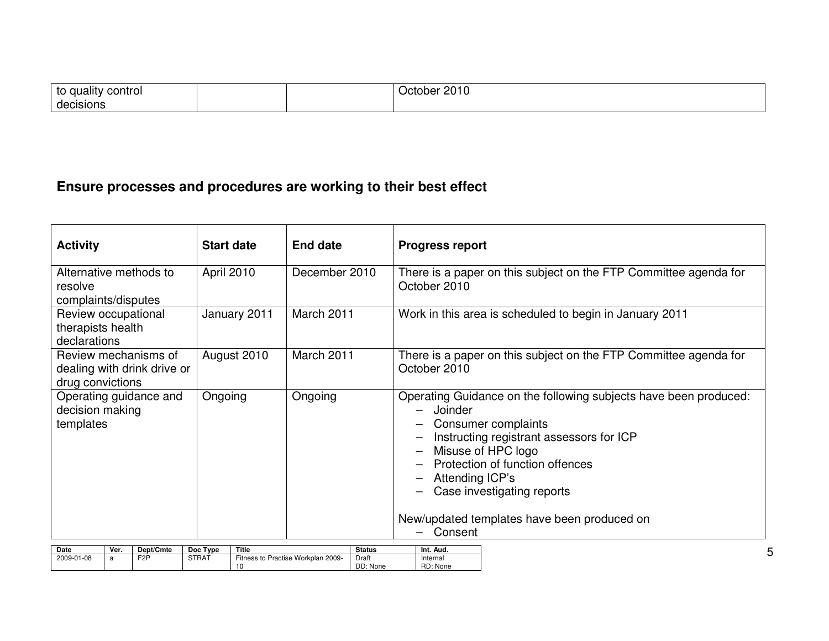| I to quality<br><sup>,</sup> control |  | 2010<br>ח≏∩ר<br><sup>ਾ</sup> ਾ00ਜ਼ |
|--------------------------------------|--|------------------------------------|
| decisions                            |  |                                    |

## **Ensure processes and procedures are working to their best effect**

| <b>Activity</b>                                                         | <b>Start date</b> | <b>End date</b> | <b>Progress report</b>                                                                                                                                                                                                                                                                                             |
|-------------------------------------------------------------------------|-------------------|-----------------|--------------------------------------------------------------------------------------------------------------------------------------------------------------------------------------------------------------------------------------------------------------------------------------------------------------------|
| Alternative methods to<br>resolve<br>complaints/disputes                | April 2010        | December 2010   | There is a paper on this subject on the FTP Committee agenda for<br>October 2010                                                                                                                                                                                                                                   |
| Review occupational<br>therapists health<br>declarations                | January 2011      | March 2011      | Work in this area is scheduled to begin in January 2011                                                                                                                                                                                                                                                            |
| Review mechanisms of<br>dealing with drink drive or<br>drug convictions | August 2010       | March 2011      | There is a paper on this subject on the FTP Committee agenda for<br>October 2010                                                                                                                                                                                                                                   |
| Operating guidance and<br>decision making<br>templates                  | Ongoing           | Ongoing         | Operating Guidance on the following subjects have been produced:<br>Joinder<br>Consumer complaints<br>Instructing registrant assessors for ICP<br>Misuse of HPC logo<br>Protection of function offences<br>Attending ICP's<br>Case investigating reports<br>New/updated templates have been produced on<br>Consent |

| Date       | Ver. | Dept/Cmte        | Type<br>Doc | Title                              | <b>Status</b> | Int. Aud. |
|------------|------|------------------|-------------|------------------------------------|---------------|-----------|
| 2009-01-08 |      | F <sub>2</sub> P | STRAT       | Fitness to Practise Workplan 2009- | Draft         | Internal  |
|            |      |                  |             | 10                                 | DD: None      | RD: None  |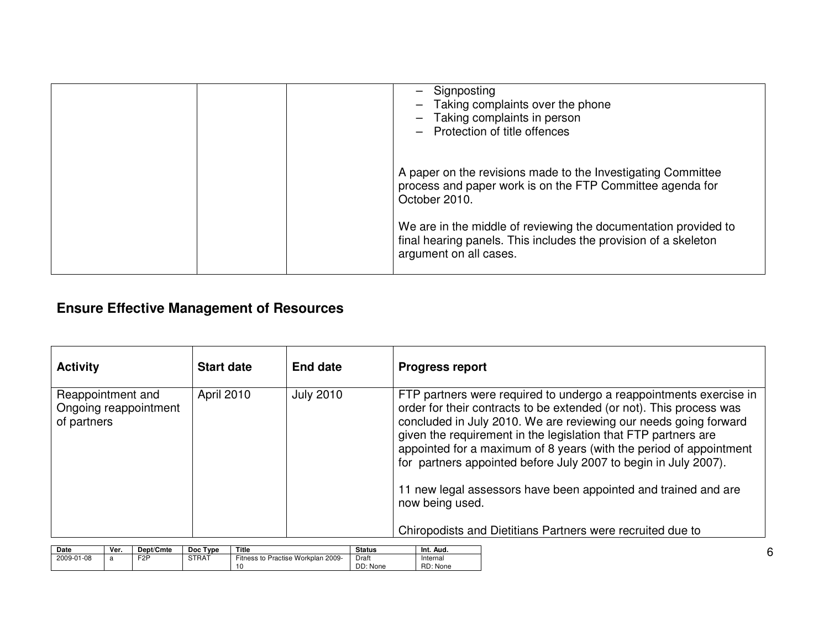| Signposting<br>Taking complaints over the phone<br>Taking complaints in person<br>- Protection of title offences                                             |
|--------------------------------------------------------------------------------------------------------------------------------------------------------------|
| A paper on the revisions made to the Investigating Committee<br>process and paper work is on the FTP Committee agenda for<br>October 2010.                   |
| We are in the middle of reviewing the documentation provided to<br>final hearing panels. This includes the provision of a skeleton<br>argument on all cases. |

## **Ensure Effective Management of Resources**

| <b>Activity</b>                                           | <b>Start date</b> | <b>End date</b>  | <b>Progress report</b>                                                                                                                                                                                                                                                                                                                                                                                                                                                                                        |
|-----------------------------------------------------------|-------------------|------------------|---------------------------------------------------------------------------------------------------------------------------------------------------------------------------------------------------------------------------------------------------------------------------------------------------------------------------------------------------------------------------------------------------------------------------------------------------------------------------------------------------------------|
| Reappointment and<br>Ongoing reappointment<br>of partners | April 2010        | <b>July 2010</b> | FTP partners were required to undergo a reappointments exercise in<br>order for their contracts to be extended (or not). This process was<br>concluded in July 2010. We are reviewing our needs going forward<br>given the requirement in the legislation that FTP partners are<br>appointed for a maximum of 8 years (with the period of appointment<br>for partners appointed before July 2007 to begin in July 2007).<br>11 new legal assessors have been appointed and trained and are<br>now being used. |
|                                                           |                   |                  | Chiropodists and Dietitians Partners were recruited due to                                                                                                                                                                                                                                                                                                                                                                                                                                                    |

| <b>Date</b> | Ver. | Dept/Cmte | Type<br><b>Doc</b> | Title                              | <b>Status</b> | Int.<br>Aud. |
|-------------|------|-----------|--------------------|------------------------------------|---------------|--------------|
| 2009-01-08  | a    | F2P       | <b>STRAT</b>       | Fitness to Practise Workplan 2009- | Draft         | Internal     |
|             |      |           |                    |                                    | DD: None      | RD: None     |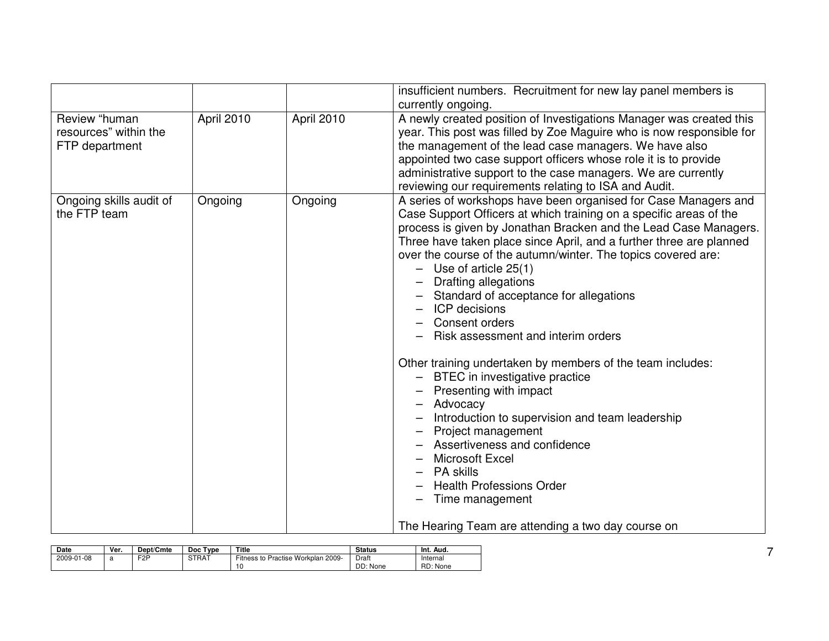|                                                          |            |            | insufficient numbers. Recruitment for new lay panel members is<br>currently ongoing.                                                                                                                                                                                                                                                                                                                                                                                                                                                                                                                                                                                                                                                                                                                                                                                                                                                |
|----------------------------------------------------------|------------|------------|-------------------------------------------------------------------------------------------------------------------------------------------------------------------------------------------------------------------------------------------------------------------------------------------------------------------------------------------------------------------------------------------------------------------------------------------------------------------------------------------------------------------------------------------------------------------------------------------------------------------------------------------------------------------------------------------------------------------------------------------------------------------------------------------------------------------------------------------------------------------------------------------------------------------------------------|
| Review "human<br>resources" within the<br>FTP department | April 2010 | April 2010 | A newly created position of Investigations Manager was created this<br>year. This post was filled by Zoe Maguire who is now responsible for<br>the management of the lead case managers. We have also<br>appointed two case support officers whose role it is to provide<br>administrative support to the case managers. We are currently<br>reviewing our requirements relating to ISA and Audit.                                                                                                                                                                                                                                                                                                                                                                                                                                                                                                                                  |
| Ongoing skills audit of<br>the FTP team                  | Ongoing    | Ongoing    | A series of workshops have been organised for Case Managers and<br>Case Support Officers at which training on a specific areas of the<br>process is given by Jonathan Bracken and the Lead Case Managers.<br>Three have taken place since April, and a further three are planned<br>over the course of the autumn/winter. The topics covered are:<br>$-$ Use of article 25(1)<br>Drafting allegations<br>Standard of acceptance for allegations<br><b>ICP</b> decisions<br>Consent orders<br>Risk assessment and interim orders<br>Other training undertaken by members of the team includes:<br>- BTEC in investigative practice<br>Presenting with impact<br>Advocacy<br>Introduction to supervision and team leadership<br>Project management<br>Assertiveness and confidence<br>Microsoft Excel<br><b>PA</b> skills<br><b>Health Professions Order</b><br>Time management<br>The Hearing Team are attending a two day course on |

| Date       | Ver. | Dept/Cmte        | Type<br>Doc  | Title                                    | <b>Status</b>     | Int.<br>Aud.         |
|------------|------|------------------|--------------|------------------------------------------|-------------------|----------------------|
| 2009-01-08 | പ    | F <sub>2</sub> P | <b>STRAT</b> | Fitness to Practise Workplan 2009-<br>10 | Draft<br>DD: None | Internal<br>RD: None |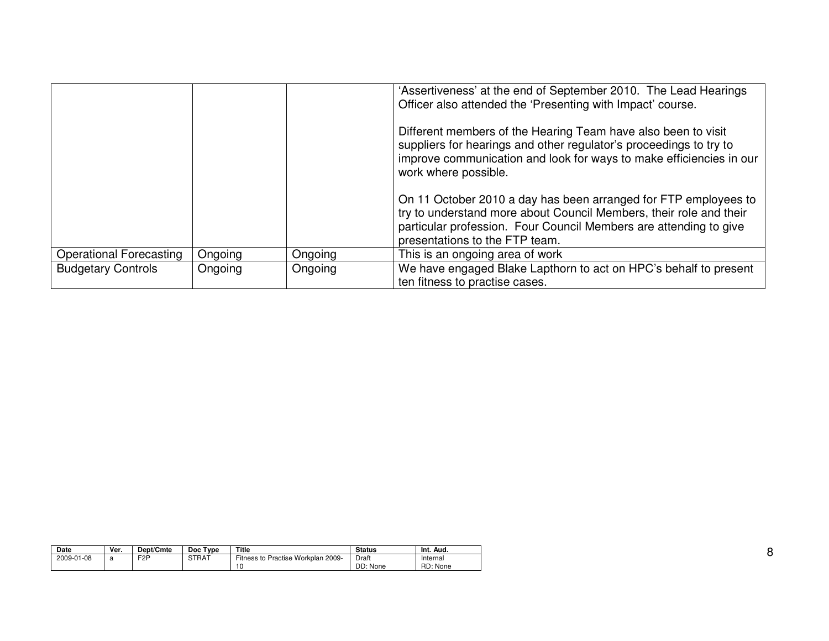|                                |         |         | 'Assertiveness' at the end of September 2010. The Lead Hearings<br>Officer also attended the 'Presenting with Impact' course.                                                                                                                |
|--------------------------------|---------|---------|----------------------------------------------------------------------------------------------------------------------------------------------------------------------------------------------------------------------------------------------|
|                                |         |         | Different members of the Hearing Team have also been to visit<br>suppliers for hearings and other regulator's proceedings to try to<br>improve communication and look for ways to make efficiencies in our<br>work where possible.           |
|                                |         |         | On 11 October 2010 a day has been arranged for FTP employees to<br>try to understand more about Council Members, their role and their<br>particular profession. Four Council Members are attending to give<br>presentations to the FTP team. |
| <b>Operational Forecasting</b> | Ongoing | Ongoing | This is an ongoing area of work                                                                                                                                                                                                              |
| <b>Budgetary Controls</b>      | Ongoing | Ongoing | We have engaged Blake Lapthorn to act on HPC's behalf to present<br>ten fitness to practise cases.                                                                                                                                           |

| <b>Date</b> | Ver. | Dept/Cmte        | Type<br>Doc  | Title                                              | <b>Status</b>     | Int.<br>Aud.         |
|-------------|------|------------------|--------------|----------------------------------------------------|-------------------|----------------------|
| 2009-01-08  |      | F <sub>2</sub> P | <b>STRAT</b> | <b>Fitness to Practise</b><br>Workplan 2009-<br>10 | Draft<br>DD: None | Internal<br>RD: None |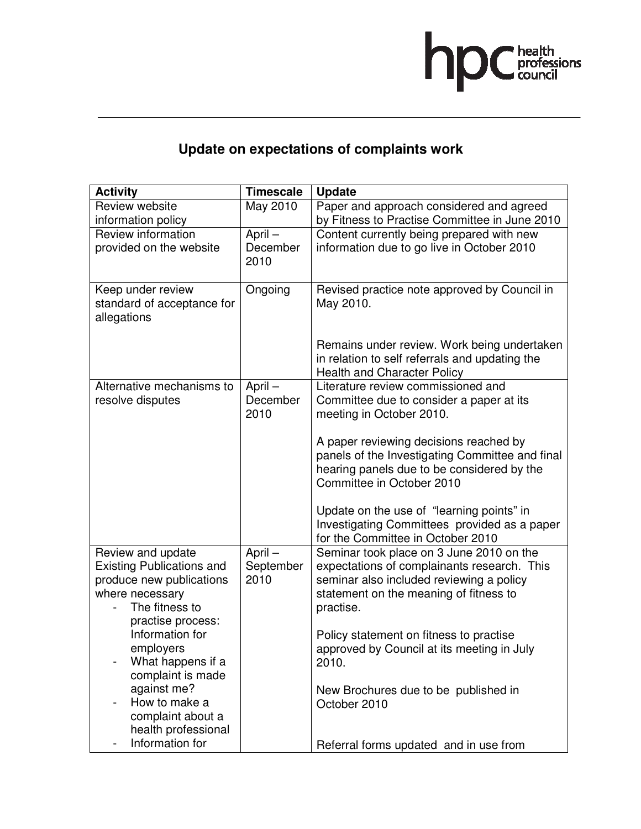

# **Update on expectations of complaints work**

| <b>Activity</b>                        | <b>Timescale</b> | <b>Update</b>                                                        |
|----------------------------------------|------------------|----------------------------------------------------------------------|
| Review website                         | May 2010         | Paper and approach considered and agreed                             |
| information policy                     |                  | by Fitness to Practise Committee in June 2010                        |
| Review information                     | April-           | Content currently being prepared with new                            |
| provided on the website                | December         | information due to go live in October 2010                           |
|                                        | 2010             |                                                                      |
|                                        |                  |                                                                      |
| Keep under review                      | Ongoing          | Revised practice note approved by Council in                         |
| standard of acceptance for             |                  | May 2010.                                                            |
| allegations                            |                  |                                                                      |
|                                        |                  |                                                                      |
|                                        |                  | Remains under review. Work being undertaken                          |
|                                        |                  | in relation to self referrals and updating the                       |
|                                        |                  | <b>Health and Character Policy</b>                                   |
| Alternative mechanisms to              | April-           | Literature review commissioned and                                   |
| resolve disputes                       | December<br>2010 | Committee due to consider a paper at its<br>meeting in October 2010. |
|                                        |                  |                                                                      |
|                                        |                  | A paper reviewing decisions reached by                               |
|                                        |                  | panels of the Investigating Committee and final                      |
|                                        |                  | hearing panels due to be considered by the                           |
|                                        |                  | Committee in October 2010                                            |
|                                        |                  |                                                                      |
|                                        |                  | Update on the use of "learning points" in                            |
|                                        |                  | Investigating Committees provided as a paper                         |
|                                        |                  | for the Committee in October 2010                                    |
| Review and update                      | April-           | Seminar took place on 3 June 2010 on the                             |
| <b>Existing Publications and</b>       | September        | expectations of complainants research. This                          |
| produce new publications               | 2010             | seminar also included reviewing a policy                             |
| where necessary                        |                  | statement on the meaning of fitness to                               |
| The fitness to                         |                  | practise.                                                            |
| practise process:                      |                  |                                                                      |
| Information for                        |                  | Policy statement on fitness to practise                              |
| employers                              |                  | approved by Council at its meeting in July                           |
| What happens if a<br>complaint is made |                  | 2010.                                                                |
| against me?                            |                  | New Brochures due to be published in                                 |
| How to make a                          |                  |                                                                      |
| complaint about a                      |                  |                                                                      |
|                                        |                  | October 2010                                                         |
| health professional                    |                  |                                                                      |